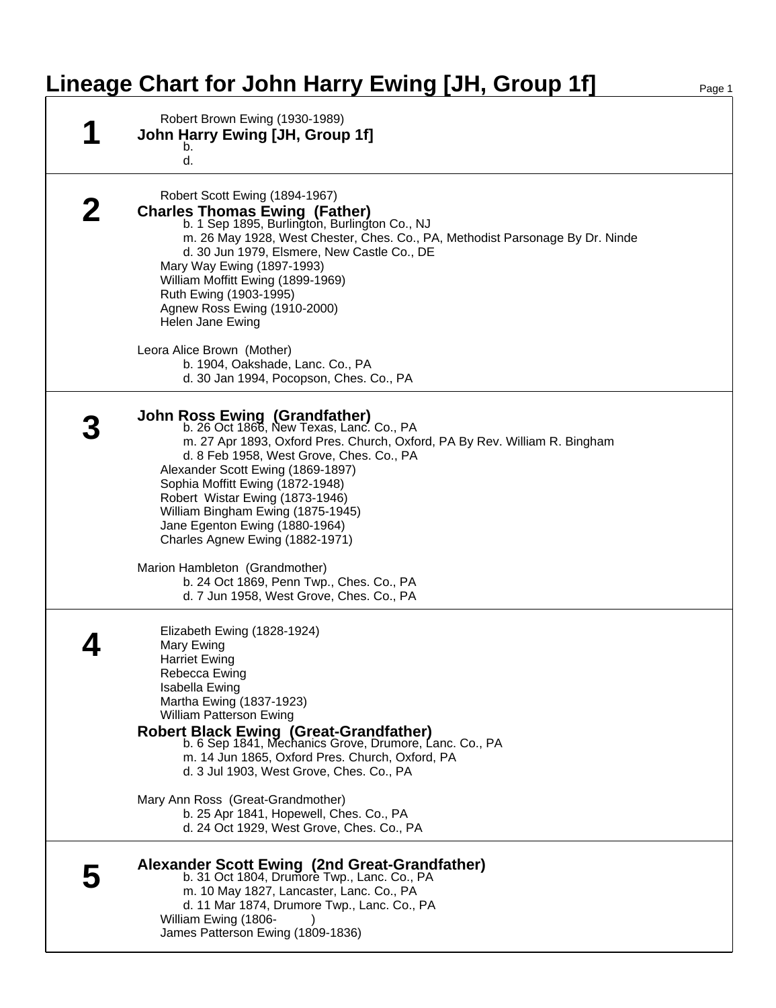## **Lineage Chart for John Harry Ewing [JH, Group 1f]**

| Robert Brown Ewing (1930-1989)<br>John Harry Ewing [JH, Group 1f]<br>b.<br>d.                                                                                                                                                                                                                                                                                                                                                                                                                                                                         |
|-------------------------------------------------------------------------------------------------------------------------------------------------------------------------------------------------------------------------------------------------------------------------------------------------------------------------------------------------------------------------------------------------------------------------------------------------------------------------------------------------------------------------------------------------------|
| Robert Scott Ewing (1894-1967)<br><b>Charles Thomas Ewing (Father)</b><br>b. 1 Sep 1895, Burlington, Burlington Co., NJ<br>m. 26 May 1928, West Chester, Ches. Co., PA, Methodist Parsonage By Dr. Ninde<br>d. 30 Jun 1979, Elsmere, New Castle Co., DE<br>Mary Way Ewing (1897-1993)<br>William Moffitt Ewing (1899-1969)<br>Ruth Ewing (1903-1995)<br>Agnew Ross Ewing (1910-2000)<br>Helen Jane Ewing<br>Leora Alice Brown (Mother)<br>b. 1904, Oakshade, Lanc. Co., PA<br>d. 30 Jan 1994, Pocopson, Ches. Co., PA                                 |
| <b>John Ross Ewing (Grandfather)</b><br>b. 26 Oct 1866, New Texas, Lanc. Co., PA<br>m. 27 Apr 1893, Oxford Pres. Church, Oxford, PA By Rev. William R. Bingham<br>d. 8 Feb 1958, West Grove, Ches. Co., PA<br>Alexander Scott Ewing (1869-1897)<br>Sophia Moffitt Ewing (1872-1948)<br>Robert Wistar Ewing (1873-1946)<br>William Bingham Ewing (1875-1945)<br>Jane Egenton Ewing (1880-1964)<br>Charles Agnew Ewing (1882-1971)<br>Marion Hambleton (Grandmother)<br>b. 24 Oct 1869, Penn Twp., Ches. Co., PA                                        |
| d. 7 Jun 1958, West Grove, Ches. Co., PA<br>Elizabeth Ewing (1828-1924)<br>Mary Ewing<br><b>Harriet Ewing</b><br>Rebecca Ewing<br>Isabella Ewing<br>Martha Ewing (1837-1923)<br><b>William Patterson Ewing</b><br><b>Robert Black Ewing (Great-Grandfather)</b><br>b. 6 Sep 1841, Mechanics Grove, Drumore, Lanc. Co., PA<br>m. 14 Jun 1865, Oxford Pres. Church, Oxford, PA<br>d. 3 Jul 1903, West Grove, Ches. Co., PA<br>Mary Ann Ross (Great-Grandmother)<br>b. 25 Apr 1841, Hopewell, Ches. Co., PA<br>d. 24 Oct 1929, West Grove, Ches. Co., PA |
| Alexander Scott Ewing (2nd Great-Grandfather)<br>b. 31 Oct 1804, Drumore Twp., Lanc. Co., PA<br>m. 10 May 1827, Lancaster, Lanc. Co., PA<br>d. 11 Mar 1874, Drumore Twp., Lanc. Co., PA<br>William Ewing (1806-<br>James Patterson Ewing (1809-1836)                                                                                                                                                                                                                                                                                                  |